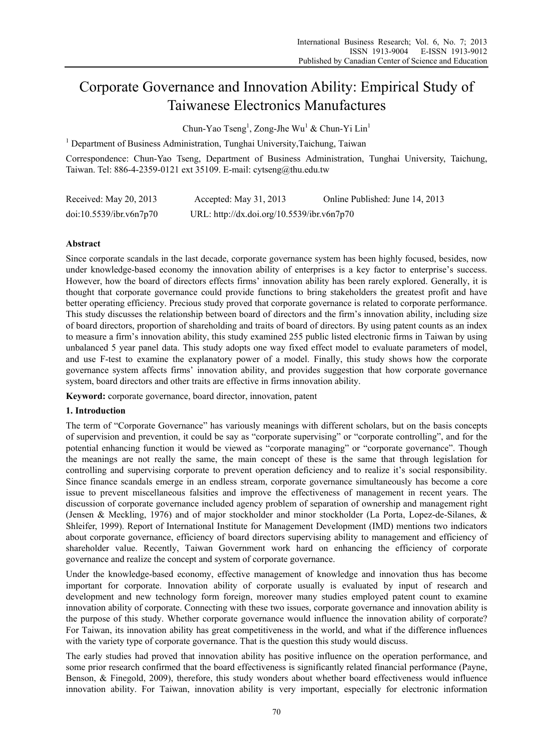# Corporate Governance and Innovation Ability: Empirical Study of Taiwanese Electronics Manufactures

Chun-Yao Tseng<sup>1</sup>, Zong-Jhe Wu<sup>1</sup> & Chun-Yi Lin<sup>1</sup>

<sup>1</sup> Department of Business Administration, Tunghai University, Taichung, Taiwan

Correspondence: Chun-Yao Tseng, Department of Business Administration, Tunghai University, Taichung, Taiwan. Tel: 886-4-2359-0121 ext 35109. E-mail: cytseng@thu.edu.tw

| Received: May 20, 2013  | Accepted: May $31, 2013$                   | Online Published: June 14, 2013 |
|-------------------------|--------------------------------------------|---------------------------------|
| doi:10.5539/ibr.v6n7p70 | URL: http://dx.doi.org/10.5539/ibr.v6n7p70 |                                 |

# **Abstract**

Since corporate scandals in the last decade, corporate governance system has been highly focused, besides, now under knowledge-based economy the innovation ability of enterprises is a key factor to enterprise's success. However, how the board of directors effects firms' innovation ability has been rarely explored. Generally, it is thought that corporate governance could provide functions to bring stakeholders the greatest profit and have better operating efficiency. Precious study proved that corporate governance is related to corporate performance. This study discusses the relationship between board of directors and the firm's innovation ability, including size of board directors, proportion of shareholding and traits of board of directors. By using patent counts as an index to measure a firm's innovation ability, this study examined 255 public listed electronic firms in Taiwan by using unbalanced 5 year panel data. This study adopts one way fixed effect model to evaluate parameters of model, and use F-test to examine the explanatory power of a model. Finally, this study shows how the corporate governance system affects firms' innovation ability, and provides suggestion that how corporate governance system, board directors and other traits are effective in firms innovation ability.

**Keyword:** corporate governance, board director, innovation, patent

# **1. Introduction**

The term of "Corporate Governance" has variously meanings with different scholars, but on the basis concepts of supervision and prevention, it could be say as "corporate supervising" or "corporate controlling", and for the potential enhancing function it would be viewed as "corporate managing" or "corporate governance". Though the meanings are not really the same, the main concept of these is the same that through legislation for controlling and supervising corporate to prevent operation deficiency and to realize it's social responsibility. Since finance scandals emerge in an endless stream, corporate governance simultaneously has become a core issue to prevent miscellaneous falsities and improve the effectiveness of management in recent years. The discussion of corporate governance included agency problem of separation of ownership and management right (Jensen & Meckling, 1976) and of major stockholder and minor stockholder (La Porta, Lopez-de-Silanes, & Shleifer, 1999). Report of International Institute for Management Development (IMD) mentions two indicators about corporate governance, efficiency of board directors supervising ability to management and efficiency of shareholder value. Recently, Taiwan Government work hard on enhancing the efficiency of corporate governance and realize the concept and system of corporate governance.

Under the knowledge-based economy, effective management of knowledge and innovation thus has become important for corporate. Innovation ability of corporate usually is evaluated by input of research and development and new technology form foreign, moreover many studies employed patent count to examine innovation ability of corporate. Connecting with these two issues, corporate governance and innovation ability is the purpose of this study. Whether corporate governance would influence the innovation ability of corporate? For Taiwan, its innovation ability has great competitiveness in the world, and what if the difference influences with the variety type of corporate governance. That is the question this study would discuss.

The early studies had proved that innovation ability has positive influence on the operation performance, and some prior research confirmed that the board effectiveness is significantly related financial performance (Payne, Benson, & Finegold, 2009), therefore, this study wonders about whether board effectiveness would influence innovation ability. For Taiwan, innovation ability is very important, especially for electronic information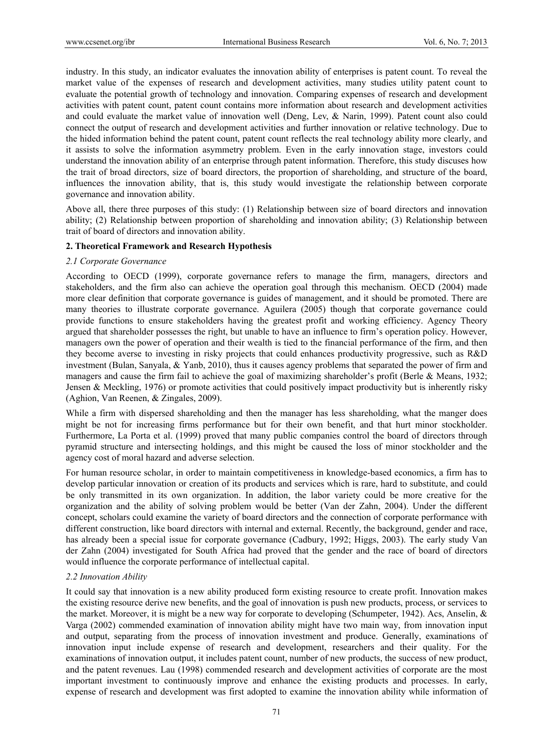industry. In this study, an indicator evaluates the innovation ability of enterprises is patent count. To reveal the market value of the expenses of research and development activities, many studies utility patent count to evaluate the potential growth of technology and innovation. Comparing expenses of research and development activities with patent count, patent count contains more information about research and development activities and could evaluate the market value of innovation well (Deng, Lev, & Narin, 1999). Patent count also could connect the output of research and development activities and further innovation or relative technology. Due to the hided information behind the patent count, patent count reflects the real technology ability more clearly, and it assists to solve the information asymmetry problem. Even in the early innovation stage, investors could understand the innovation ability of an enterprise through patent information. Therefore, this study discuses how the trait of broad directors, size of board directors, the proportion of shareholding, and structure of the board, influences the innovation ability, that is, this study would investigate the relationship between corporate governance and innovation ability.

Above all, there three purposes of this study: (1) Relationship between size of board directors and innovation ability; (2) Relationship between proportion of shareholding and innovation ability; (3) Relationship between trait of board of directors and innovation ability.

#### **2. Theoretical Framework and Research Hypothesis**

#### *2.1 Corporate Governance*

According to OECD (1999), corporate governance refers to manage the firm, managers, directors and stakeholders, and the firm also can achieve the operation goal through this mechanism. OECD (2004) made more clear definition that corporate governance is guides of management, and it should be promoted. There are many theories to illustrate corporate governance. Aguilera (2005) though that corporate governance could provide functions to ensure stakeholders having the greatest profit and working efficiency. Agency Theory argued that shareholder possesses the right, but unable to have an influence to firm's operation policy. However, managers own the power of operation and their wealth is tied to the financial performance of the firm, and then they become averse to investing in risky projects that could enhances productivity progressive, such as R&D investment (Bulan, Sanyala, & Yanb, 2010), thus it causes agency problems that separated the power of firm and managers and cause the firm fail to achieve the goal of maximizing shareholder's profit (Berle & Means, 1932; Jensen & Meckling, 1976) or promote activities that could positively impact productivity but is inherently risky (Aghion, Van Reenen, & Zingales, 2009).

While a firm with dispersed shareholding and then the manager has less shareholding, what the manger does might be not for increasing firms performance but for their own benefit, and that hurt minor stockholder. Furthermore, La Porta et al. (1999) proved that many public companies control the board of directors through pyramid structure and intersecting holdings, and this might be caused the loss of minor stockholder and the agency cost of moral hazard and adverse selection.

For human resource scholar, in order to maintain competitiveness in knowledge-based economics, a firm has to develop particular innovation or creation of its products and services which is rare, hard to substitute, and could be only transmitted in its own organization. In addition, the labor variety could be more creative for the organization and the ability of solving problem would be better (Van der Zahn, 2004). Under the different concept, scholars could examine the variety of board directors and the connection of corporate performance with different construction, like board directors with internal and external. Recently, the background, gender and race, has already been a special issue for corporate governance (Cadbury, 1992; Higgs, 2003). The early study Van der Zahn (2004) investigated for South Africa had proved that the gender and the race of board of directors would influence the corporate performance of intellectual capital.

## *2.2 Innovation Ability*

It could say that innovation is a new ability produced form existing resource to create profit. Innovation makes the existing resource derive new benefits, and the goal of innovation is push new products, process, or services to the market. Moreover, it is might be a new way for corporate to developing (Schumpeter, 1942). Acs, Anselin, & Varga (2002) commended examination of innovation ability might have two main way, from innovation input and output, separating from the process of innovation investment and produce. Generally, examinations of innovation input include expense of research and development, researchers and their quality. For the examinations of innovation output, it includes patent count, number of new products, the success of new product, and the patent revenues. Lau (1998) commended research and development activities of corporate are the most important investment to continuously improve and enhance the existing products and processes. In early, expense of research and development was first adopted to examine the innovation ability while information of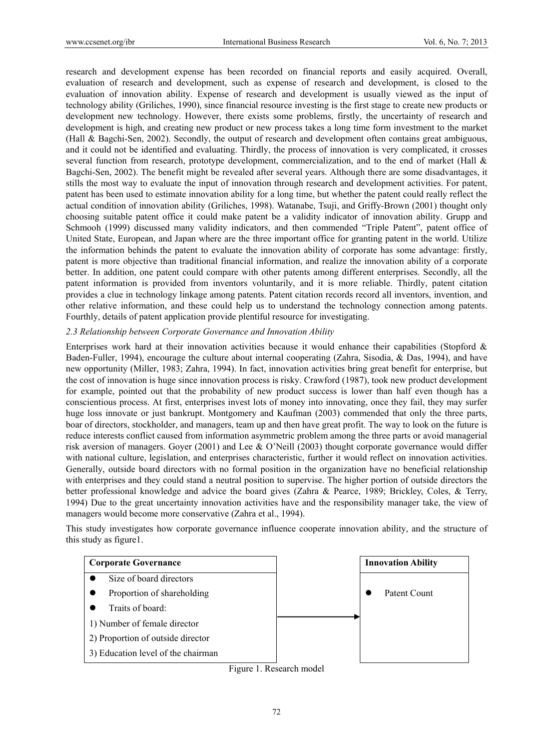research and development expense has been recorded on financial reports and easily acquired. Overall, evaluation of research and development, such as expense of research and development, is closed to the evaluation of innovation ability. Expense of research and development is usually viewed as the input of technology ability (Griliches, 1990), since financial resource investing is the first stage to create new products or development new technology. However, there exists some problems, firstly, the uncertainty of research and development is high, and creating new product or new process takes a long time form investment to the market (Hall & Bagchi-Sen, 2002). Secondly, the output of research and development often contains great ambiguous, and it could not be identified and evaluating. Thirdly, the process of innovation is very complicated, it crosses several function from research, prototype development, commercialization, and to the end of market (Hall & Bagchi-Sen, 2002). The benefit might be revealed after several years. Although there are some disadvantages, it stills the most way to evaluate the input of innovation through research and development activities. For patent, patent has been used to estimate innovation ability for a long time, but whether the patent could really reflect the actual condition of innovation ability (Griliches, 1998). Watanabe, Tsuji, and Griffy-Brown (2001) thought only choosing suitable patent office it could make patent be a validity indicator of innovation ability. Grupp and Schmooh (1999) discussed many validity indicators, and then commended "Triple Patent", patent office of United State, European, and Japan where are the three important office for granting patent in the world. Utilize the information behinds the patent to evaluate the innovation ability of corporate has some advantage: firstly, patent is more objective than traditional financial information, and realize the innovation ability of a corporate better. In addition, one patent could compare with other patents among different enterprises. Secondly, all the patent information is provided from inventors voluntarily, and it is more reliable. Thirdly, patent citation provides a clue in technology linkage among patents. Patent citation records record all inventors, invention, and other relative information, and these could help us to understand the technology connection among patents. Fourthly, details of patent application provide plentiful resource for investigating.

# *2.3 Relationship between Corporate Governance and Innovation Ability*

Enterprises work hard at their innovation activities because it would enhance their capabilities (Stopford & Baden-Fuller, 1994), encourage the culture about internal cooperating (Zahra, Sisodia, & Das, 1994), and have new opportunity (Miller, 1983; Zahra, 1994). In fact, innovation activities bring great benefit for enterprise, but the cost of innovation is huge since innovation process is risky. Crawford (1987), took new product development for example, pointed out that the probability of new product success is lower than half even though has a conscientious process. At first, enterprises invest lots of money into innovating, once they fail, they may surfer huge loss innovate or just bankrupt. Montgomery and Kaufman (2003) commended that only the three parts, boar of directors, stockholder, and managers, team up and then have great profit. The way to look on the future is reduce interests conflict caused from information asymmetric problem among the three parts or avoid managerial risk aversion of managers. Goyer (2001) and Lee & O'Neill (2003) thought corporate governance would differ with national culture, legislation, and enterprises characteristic, further it would reflect on innovation activities. Generally, outside board directors with no formal position in the organization have no beneficial relationship with enterprises and they could stand a neutral position to supervise. The higher portion of outside directors the better professional knowledge and advice the board gives (Zahra & Pearce, 1989; Brickley, Coles, & Terry, 1994) Due to the great uncertainty innovation activities have and the responsibility manager take, the view of managers would become more conservative (Zahra et al., 1994).

This study investigates how corporate governance influence cooperate innovation ability, and the structure of this study as figure1.



Figure 1. Research model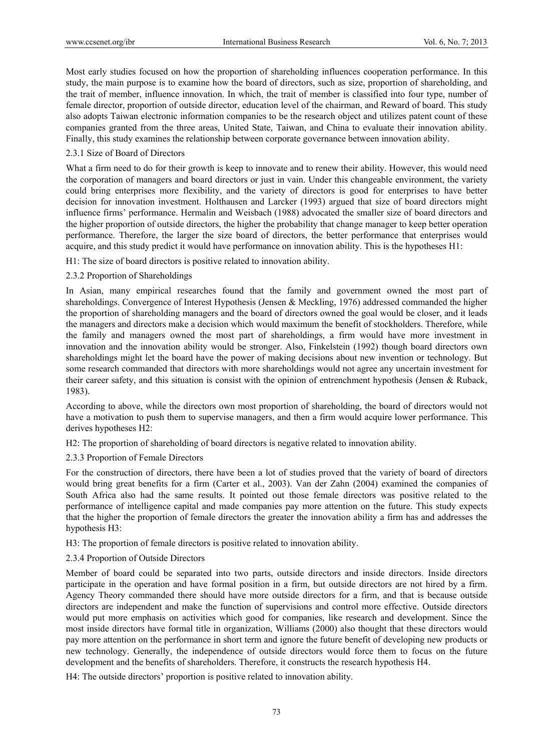Most early studies focused on how the proportion of shareholding influences cooperation performance. In this study, the main purpose is to examine how the board of directors, such as size, proportion of shareholding, and the trait of member, influence innovation. In which, the trait of member is classified into four type, number of female director, proportion of outside director, education level of the chairman, and Reward of board. This study also adopts Taiwan electronic information companies to be the research object and utilizes patent count of these companies granted from the three areas, United State, Taiwan, and China to evaluate their innovation ability. Finally, this study examines the relationship between corporate governance between innovation ability.

## 2.3.1 Size of Board of Directors

What a firm need to do for their growth is keep to innovate and to renew their ability. However, this would need the corporation of managers and board directors or just in vain. Under this changeable environment, the variety could bring enterprises more flexibility, and the variety of directors is good for enterprises to have better decision for innovation investment. Holthausen and Larcker (1993) argued that size of board directors might influence firms' performance. Hermalin and Weisbach (1988) advocated the smaller size of board directors and the higher proportion of outside directors, the higher the probability that change manager to keep better operation performance. Therefore, the larger the size board of directors, the better performance that enterprises would acquire, and this study predict it would have performance on innovation ability. This is the hypotheses H1:

H1: The size of board directors is positive related to innovation ability.

# 2.3.2 Proportion of Shareholdings

In Asian, many empirical researches found that the family and government owned the most part of shareholdings. Convergence of Interest Hypothesis (Jensen & Meckling, 1976) addressed commanded the higher the proportion of shareholding managers and the board of directors owned the goal would be closer, and it leads the managers and directors make a decision which would maximum the benefit of stockholders. Therefore, while the family and managers owned the most part of shareholdings, a firm would have more investment in innovation and the innovation ability would be stronger. Also, Finkelstein (1992) though board directors own shareholdings might let the board have the power of making decisions about new invention or technology. But some research commanded that directors with more shareholdings would not agree any uncertain investment for their career safety, and this situation is consist with the opinion of entrenchment hypothesis (Jensen & Ruback, 1983).

According to above, while the directors own most proportion of shareholding, the board of directors would not have a motivation to push them to supervise managers, and then a firm would acquire lower performance. This derives hypotheses H2:

H2: The proportion of shareholding of board directors is negative related to innovation ability.

## 2.3.3 Proportion of Female Directors

For the construction of directors, there have been a lot of studies proved that the variety of board of directors would bring great benefits for a firm (Carter et al., 2003). Van der Zahn (2004) examined the companies of South Africa also had the same results. It pointed out those female directors was positive related to the performance of intelligence capital and made companies pay more attention on the future. This study expects that the higher the proportion of female directors the greater the innovation ability a firm has and addresses the hypothesis H3:

H3: The proportion of female directors is positive related to innovation ability.

# 2.3.4 Proportion of Outside Directors

Member of board could be separated into two parts, outside directors and inside directors. Inside directors participate in the operation and have formal position in a firm, but outside directors are not hired by a firm. Agency Theory commanded there should have more outside directors for a firm, and that is because outside directors are independent and make the function of supervisions and control more effective. Outside directors would put more emphasis on activities which good for companies, like research and development. Since the most inside directors have formal title in organization, Williams (2000) also thought that these directors would pay more attention on the performance in short term and ignore the future benefit of developing new products or new technology. Generally, the independence of outside directors would force them to focus on the future development and the benefits of shareholders. Therefore, it constructs the research hypothesis H4.

H4: The outside directors' proportion is positive related to innovation ability.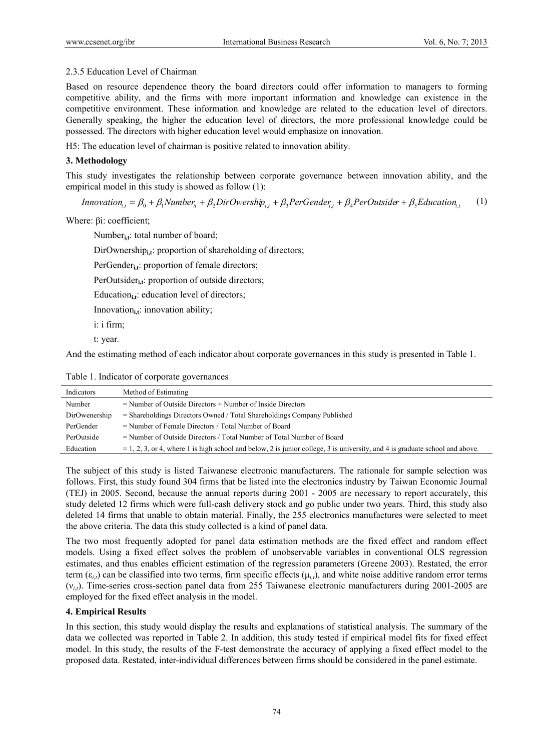# 2.3.5 Education Level of Chairman

Based on resource dependence theory the board directors could offer information to managers to forming competitive ability, and the firms with more important information and knowledge can existence in the competitive environment. These information and knowledge are related to the education level of directors. Generally speaking, the higher the education level of directors, the more professional knowledge could be possessed. The directors with higher education level would emphasize on innovation.

H5: The education level of chairman is positive related to innovation ability.

# **3. Methodology**

This study investigates the relationship between corporate governance between innovation ability, and the empirical model in this study is showed as follow (1):

*Innovation<sub>is</sub>* =  $\beta_0$  +  $\beta_1$ *Number<sub>is</sub>* +  $\beta_2$ *DirOwership<sub>is</sub>* +  $\beta_3$ *PerGender<sub>is</sub>* +  $\beta_4$ *PerOutsider* +  $\beta_5$ *Education<sub>is</sub>* (1)

Where: βi: coefficient;

Number<sub>i,t</sub>: total number of board;

DirOwnership<sub>i.t</sub>: proportion of shareholding of directors;

PerGender<sub>it</sub>: proportion of female directors;

PerOutsider<sub>i,t</sub>: proportion of outside directors;

Education<sub>i,t</sub>: education level of directors;

Innovation<sub>i,t</sub>: innovation ability;

i: i firm;

t: year.

And the estimating method of each indicator about corporate governances in this study is presented in Table 1.

Table 1. Indicator of corporate governances

| Indicators    | Method of Estimating                                                                                                           |
|---------------|--------------------------------------------------------------------------------------------------------------------------------|
| Number        | $=$ Number of Outside Directors $+$ Number of Inside Directors                                                                 |
| DirOwenership | $=$ Shareholdings Directors Owned / Total Shareholdings Company Published                                                      |
| PerGender     | $=$ Number of Female Directors / Total Number of Board                                                                         |
| PerOutside    | $=$ Number of Outside Directors / Total Number of Total Number of Board                                                        |
| Education     | $= 1, 2, 3,$ or 4, where 1 is high school and below, 2 is junior college, 3 is university, and 4 is graduate school and above. |

The subject of this study is listed Taiwanese electronic manufacturers. The rationale for sample selection was follows. First, this study found 304 firms that be listed into the electronics industry by Taiwan Economic Journal (TEJ) in 2005. Second, because the annual reports during 2001 - 2005 are necessary to report accurately, this study deleted 12 firms which were full-cash delivery stock and go public under two years. Third, this study also deleted 14 firms that unable to obtain material. Finally, the 255 electronics manufactures were selected to meet the above criteria. The data this study collected is a kind of panel data.

The two most frequently adopted for panel data estimation methods are the fixed effect and random effect models. Using a fixed effect solves the problem of unobservable variables in conventional OLS regression estimates, and thus enables efficient estimation of the regression parameters (Greene 2003). Restated, the error term  $(\varepsilon_{i,t})$  can be classified into two terms, firm specific effects  $(\mu_{i,t})$ , and white noise additive random error terms  $(v_{i})$ . Time-series cross-section panel data from 255 Taiwanese electronic manufacturers during 2001-2005 are employed for the fixed effect analysis in the model.

# **4. Empirical Results**

In this section, this study would display the results and explanations of statistical analysis. The summary of the data we collected was reported in Table 2. In addition, this study tested if empirical model fits for fixed effect model. In this study, the results of the F-test demonstrate the accuracy of applying a fixed effect model to the proposed data. Restated, inter-individual differences between firms should be considered in the panel estimate.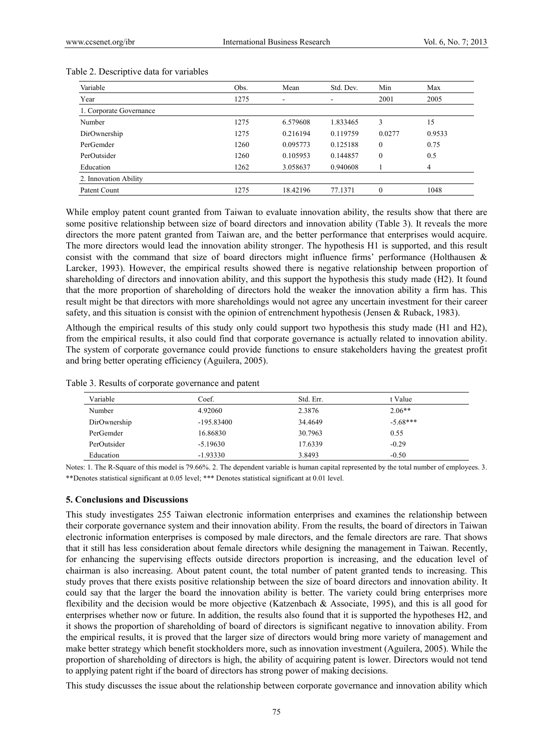| Variable                | Obs. | Mean                     | Std. Dev. | Min      | Max    |
|-------------------------|------|--------------------------|-----------|----------|--------|
| Year                    | 1275 | $\overline{\phantom{a}}$ |           | 2001     | 2005   |
| 1. Corporate Governance |      |                          |           |          |        |
| Number                  | 1275 | 6.579608                 | 1.833465  | 3        | 15     |
| DirOwnership            | 1275 | 0.216194                 | 0.119759  | 0.0277   | 0.9533 |
| PerGemder               | 1260 | 0.095773                 | 0.125188  | $\theta$ | 0.75   |
| PerOutsider             | 1260 | 0.105953                 | 0.144857  | $\theta$ | 0.5    |
| Education               | 1262 | 3.058637                 | 0.940608  |          | 4      |
| 2. Innovation Ability   |      |                          |           |          |        |
| Patent Count            | 1275 | 18.42196                 | 77.1371   | $\theta$ | 1048   |

#### Table 2. Descriptive data for variables

While employ patent count granted from Taiwan to evaluate innovation ability, the results show that there are some positive relationship between size of board directors and innovation ability (Table 3). It reveals the more directors the more patent granted from Taiwan are, and the better performance that enterprises would acquire. The more directors would lead the innovation ability stronger. The hypothesis H1 is supported, and this result consist with the command that size of board directors might influence firms' performance (Holthausen & Larcker, 1993). However, the empirical results showed there is negative relationship between proportion of shareholding of directors and innovation ability, and this support the hypothesis this study made (H2). It found that the more proportion of shareholding of directors hold the weaker the innovation ability a firm has. This result might be that directors with more shareholdings would not agree any uncertain investment for their career safety, and this situation is consist with the opinion of entrenchment hypothesis (Jensen & Ruback, 1983).

Although the empirical results of this study only could support two hypothesis this study made (H1 and H2), from the empirical results, it also could find that corporate governance is actually related to innovation ability. The system of corporate governance could provide functions to ensure stakeholders having the greatest profit and bring better operating efficiency (Aguilera, 2005).

|  |  | Table 3. Results of corporate governance and patent |  |
|--|--|-----------------------------------------------------|--|
|--|--|-----------------------------------------------------|--|

| Variable     | Coef.        | Std. Err. | t Value    |  |
|--------------|--------------|-----------|------------|--|
| Number       | 4.92060      | 2.3876    | $2.06**$   |  |
| DirOwnership | $-195.83400$ | 34.4649   | $-5.68***$ |  |
| PerGemder    | 16.86830     | 30.7963   | 0.55       |  |
| PerOutsider  | $-5.19630$   | 17.6339   | $-0.29$    |  |
| Education    | $-1.93330$   | 3.8493    | $-0.50$    |  |

Notes: 1. The R-Square of this model is 79.66%. 2. The dependent variable is human capital represented by the total number of employees. 3. \*\*Denotes statistical significant at 0.05 level; \*\*\* Denotes statistical significant at 0.01 level.

#### **5. Conclusions and Discussions**

This study investigates 255 Taiwan electronic information enterprises and examines the relationship between their corporate governance system and their innovation ability. From the results, the board of directors in Taiwan electronic information enterprises is composed by male directors, and the female directors are rare. That shows that it still has less consideration about female directors while designing the management in Taiwan. Recently, for enhancing the supervising effects outside directors proportion is increasing, and the education level of chairman is also increasing. About patent count, the total number of patent granted tends to increasing. This study proves that there exists positive relationship between the size of board directors and innovation ability. It could say that the larger the board the innovation ability is better. The variety could bring enterprises more flexibility and the decision would be more objective (Katzenbach & Associate, 1995), and this is all good for enterprises whether now or future. In addition, the results also found that it is supported the hypotheses H2, and it shows the proportion of shareholding of board of directors is significant negative to innovation ability. From the empirical results, it is proved that the larger size of directors would bring more variety of management and make better strategy which benefit stockholders more, such as innovation investment (Aguilera, 2005). While the proportion of shareholding of directors is high, the ability of acquiring patent is lower. Directors would not tend to applying patent right if the board of directors has strong power of making decisions.

This study discusses the issue about the relationship between corporate governance and innovation ability which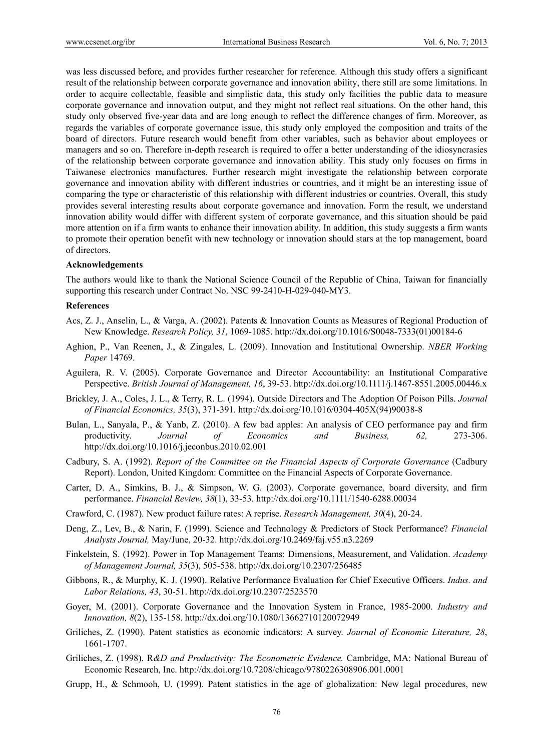was less discussed before, and provides further researcher for reference. Although this study offers a significant result of the relationship between corporate governance and innovation ability, there still are some limitations. In order to acquire collectable, feasible and simplistic data, this study only facilities the public data to measure corporate governance and innovation output, and they might not reflect real situations. On the other hand, this study only observed five-year data and are long enough to reflect the difference changes of firm. Moreover, as regards the variables of corporate governance issue, this study only employed the composition and traits of the board of directors. Future research would benefit from other variables, such as behavior about employees or managers and so on. Therefore in-depth research is required to offer a better understanding of the idiosyncrasies of the relationship between corporate governance and innovation ability. This study only focuses on firms in Taiwanese electronics manufactures. Further research might investigate the relationship between corporate governance and innovation ability with different industries or countries, and it might be an interesting issue of comparing the type or characteristic of this relationship with different industries or countries. Overall, this study provides several interesting results about corporate governance and innovation. Form the result, we understand innovation ability would differ with different system of corporate governance, and this situation should be paid more attention on if a firm wants to enhance their innovation ability. In addition, this study suggests a firm wants to promote their operation benefit with new technology or innovation should stars at the top management, board of directors.

#### **Acknowledgements**

The authors would like to thank the National Science Council of the Republic of China, Taiwan for financially supporting this research under Contract No. NSC 99-2410-H-029-040-MY3.

#### **References**

- Acs, Z. J., Anselin, L., & Varga, A. (2002). Patents & Innovation Counts as Measures of Regional Production of New Knowledge. *Research Policy, 31*, 1069-1085. http://dx.doi.org/10.1016/S0048-7333(01)00184-6
- Aghion, P., Van Reenen, J., & Zingales, L. (2009). Innovation and Institutional Ownership. *NBER Working Paper* 14769.
- Aguilera, R. V. (2005). Corporate Governance and Director Accountability: an Institutional Comparative Perspective. *British Journal of Management, 16*, 39-53. http://dx.doi.org/10.1111/j.1467-8551.2005.00446.x
- Brickley, J. A., Coles, J. L., & Terry, R. L. (1994). Outside Directors and The Adoption Of Poison Pills. *Journal of Financial Economics, 35*(3), 371-391. http://dx.doi.org/10.1016/0304-405X(94)90038-8
- Bulan, L., Sanyala, P., & Yanb, Z. (2010). A few bad apples: An analysis of CEO performance pay and firm productivity. *Journal of Economics and Business, 62,* 273-306. http://dx.doi.org/10.1016/j.jeconbus.2010.02.001
- Cadbury, S. A. (1992). *Report of the Committee on the Financial Aspects of Corporate Governance* (Cadbury Report). London, United Kingdom: Committee on the Financial Aspects of Corporate Governance.
- Carter, D. A., Simkins, B. J., & Simpson, W. G. (2003). Corporate governance, board diversity, and firm performance. *Financial Review, 38*(1), 33-53. http://dx.doi.org/10.1111/1540-6288.00034
- Crawford, C. (1987). New product failure rates: A reprise. *Research Management, 30*(4), 20-24.
- Deng, Z., Lev, B., & Narin, F. (1999). Science and Technology & Predictors of Stock Performance? *Financial Analysts Journal,* May/June, 20-32. http://dx.doi.org/10.2469/faj.v55.n3.2269
- Finkelstein, S. (1992). Power in Top Management Teams: Dimensions, Measurement, and Validation. *Academy of Management Journal, 35*(3), 505-538. http://dx.doi.org/10.2307/256485
- Gibbons, R., & Murphy, K. J. (1990). Relative Performance Evaluation for Chief Executive Officers. *Indus. and Labor Relations, 43*, 30-51. http://dx.doi.org/10.2307/2523570
- Goyer, M. (2001). Corporate Governance and the Innovation System in France, 1985-2000. *Industry and Innovation, 8*(2), 135-158. http://dx.doi.org/10.1080/13662710120072949
- Griliches, Z. (1990). Patent statistics as economic indicators: A survey. *Journal of Economic Literature, 28*, 1661-1707.
- Griliches, Z. (1998). R*&D and Productivity: The Econometric Evidence.* Cambridge, MA: National Bureau of Economic Research, Inc. http://dx.doi.org/10.7208/chicago/9780226308906.001.0001
- Grupp, H., & Schmooh, U. (1999). Patent statistics in the age of globalization: New legal procedures, new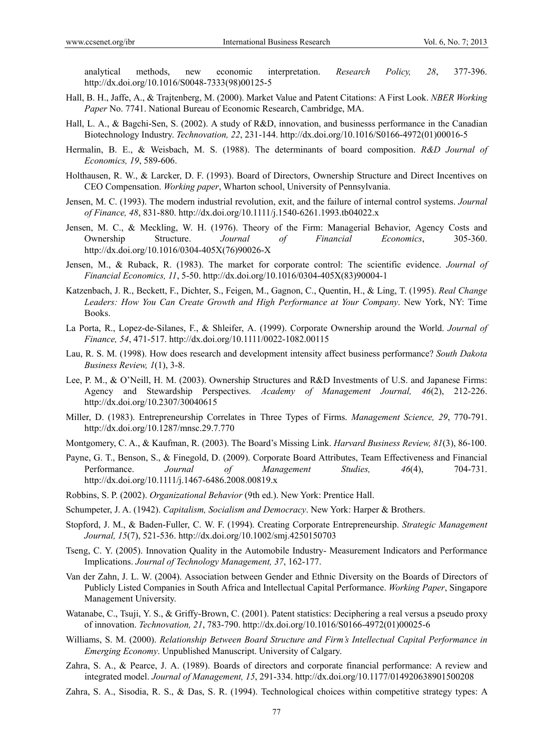analytical methods, new economic interpretation. *Research Policy, 28*, 377-396. http://dx.doi.org/10.1016/S0048-7333(98)00125-5

- Hall, B. H., Jaffe, A., & Trajtenberg, M. (2000). Market Value and Patent Citations: A First Look. *NBER Working Paper* No. 7741. National Bureau of Economic Research, Cambridge, MA.
- Hall, L. A., & Bagchi-Sen, S. (2002). A study of R&D, innovation, and businesss performance in the Canadian Biotechnology Industry. *Technovation, 22*, 231-144. http://dx.doi.org/10.1016/S0166-4972(01)00016-5
- Hermalin, B. E., & Weisbach, M. S. (1988). The determinants of board composition. *R&D Journal of Economics, 19*, 589-606.
- Holthausen, R. W., & Larcker, D. F. (1993). Board of Directors, Ownership Structure and Direct Incentives on CEO Compensation. *Working paper*, Wharton school, University of Pennsylvania.
- Jensen, M. C. (1993). The modern industrial revolution, exit, and the failure of internal control systems. *Journal of Finance, 48*, 831-880. http://dx.doi.org/10.1111/j.1540-6261.1993.tb04022.x
- Jensen, M. C., & Meckling, W. H. (1976). Theory of the Firm: Managerial Behavior, Agency Costs and Ownership Structure. *Journal of Financial Economics*, 305-360. http://dx.doi.org/10.1016/0304-405X(76)90026-X
- Jensen, M., & Ruback, R. (1983). The market for corporate control: The scientific evidence. *Journal of Financial Economics, 11*, 5-50. http://dx.doi.org/10.1016/0304-405X(83)90004-1
- Katzenbach, J. R., Beckett, F., Dichter, S., Feigen, M., Gagnon, C., Quentin, H., & Ling, T. (1995). *Real Change Leaders: How You Can Create Growth and High Performance at Your Company*. New York, NY: Time Books.
- La Porta, R., Lopez-de-Silanes, F., & Shleifer, A. (1999). Corporate Ownership around the World. *Journal of Finance, 54*, 471-517. http://dx.doi.org/10.1111/0022-1082.00115
- Lau, R. S. M. (1998). How does research and development intensity affect business performance? *South Dakota Business Review, 1*(1), 3-8.
- Lee, P. M., & O'Neill, H. M. (2003). Ownership Structures and R&D Investments of U.S. and Japanese Firms: Agency and Stewardship Perspectives. *Academy of Management Journal, 46*(2), 212-226. http://dx.doi.org/10.2307/30040615
- Miller, D. (1983). Entrepreneurship Correlates in Three Types of Firms. *Management Science, 29*, 770-791. http://dx.doi.org/10.1287/mnsc.29.7.770
- Montgomery, C. A., & Kaufman, R. (2003). The Board's Missing Link. *Harvard Business Review, 81*(3), 86-100.
- Payne, G. T., Benson, S., & Finegold, D. (2009). Corporate Board Attributes, Team Effectiveness and Financial Performance. *Journal of Management Studies, 46*(4), 704-731. http://dx.doi.org/10.1111/j.1467-6486.2008.00819.x
- Robbins, S. P. (2002). *Organizational Behavior* (9th ed.). New York: Prentice Hall.
- Schumpeter, J. A. (1942). *Capitalism, Socialism and Democracy*. New York: Harper & Brothers.
- Stopford, J. M., & Baden-Fuller, C. W. F. (1994). Creating Corporate Entrepreneurship. *Strategic Management Journal, 15*(7), 521-536. http://dx.doi.org/10.1002/smj.4250150703
- Tseng, C. Y. (2005). Innovation Quality in the Automobile Industry- Measurement Indicators and Performance Implications. *Journal of Technology Management, 37*, 162-177.
- Van der Zahn, J. L. W. (2004). Association between Gender and Ethnic Diversity on the Boards of Directors of Publicly Listed Companies in South Africa and Intellectual Capital Performance. *Working Paper*, Singapore Management University.
- Watanabe, C., Tsuji, Y. S., & Griffy-Brown, C. (2001). Patent statistics: Deciphering a real versus a pseudo proxy of innovation. *Technovation, 21*, 783-790. http://dx.doi.org/10.1016/S0166-4972(01)00025-6
- Williams, S. M. (2000). *Relationship Between Board Structure and Firm's Intellectual Capital Performance in Emerging Economy*. Unpublished Manuscript. University of Calgary.
- Zahra, S. A., & Pearce, J. A. (1989). Boards of directors and corporate financial performance: A review and integrated model. *Journal of Management, 15*, 291-334. http://dx.doi.org/10.1177/014920638901500208
- Zahra, S. A., Sisodia, R. S., & Das, S. R. (1994). Technological choices within competitive strategy types: A